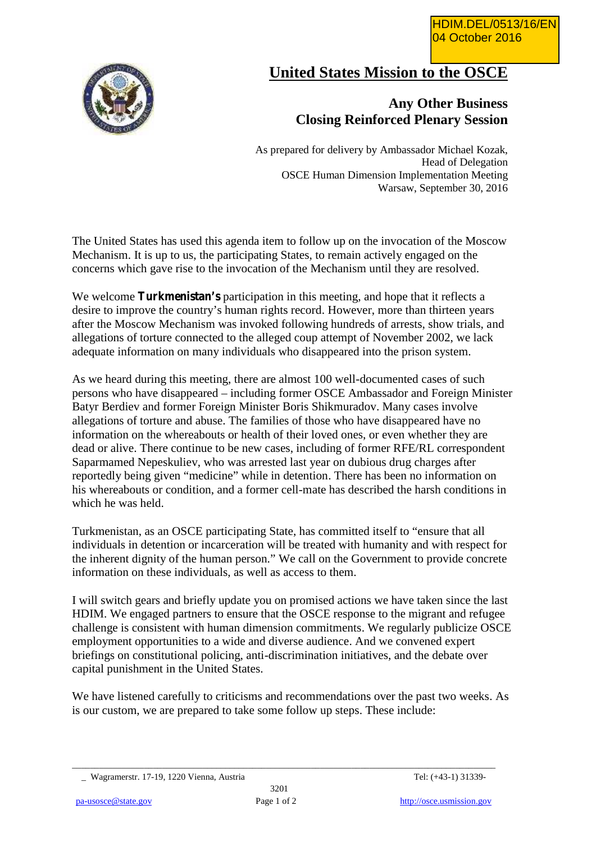

## **United States Mission to the OSCE**

## **Any Other Business Closing Reinforced Plenary Session**

As prepared for delivery by Ambassador Michael Kozak, Head of Delegation OSCE Human Dimension Implementation Meeting Warsaw, September 30, 2016

The United States has used this agenda item to follow up on the invocation of the Moscow Mechanism. It is up to us, the participating States, to remain actively engaged on the concerns which gave rise to the invocation of the Mechanism until they are resolved.

We welcome **Turkmenistan's** participation in this meeting, and hope that it reflects a desire to improve the country's human rights record. However, more than thirteen years after the Moscow Mechanism was invoked following hundreds of arrests, show trials, and allegations of torture connected to the alleged coup attempt of November 2002, we lack adequate information on many individuals who disappeared into the prison system.

As we heard during this meeting, there are almost 100 well-documented cases of such persons who have disappeared – including former OSCE Ambassador and Foreign Minister Batyr Berdiev and former Foreign Minister Boris Shikmuradov. Many cases involve allegations of torture and abuse. The families of those who have disappeared have no information on the whereabouts or health of their loved ones, or even whether they are dead or alive. There continue to be new cases, including of former RFE/RL correspondent Saparmamed Nepeskuliev, who was arrested last year on dubious drug charges after reportedly being given "medicine" while in detention. There has been no information on his whereabouts or condition, and a former cell-mate has described the harsh conditions in which he was held.

Turkmenistan, as an OSCE participating State, has committed itself to "ensure that all individuals in detention or incarceration will be treated with humanity and with respect for the inherent dignity of the human person." We call on the Government to provide concrete information on these individuals, as well as access to them.

I will switch gears and briefly update you on promised actions we have taken since the last HDIM. We engaged partners to ensure that the OSCE response to the migrant and refugee challenge is consistent with human dimension commitments. We regularly publicize OSCE employment opportunities to a wide and diverse audience. And we convened expert briefings on constitutional policing, anti-discrimination initiatives, and the debate over capital punishment in the United States.

We have listened carefully to criticisms and recommendations over the past two weeks. As is our custom, we are prepared to take some follow up steps. These include:

 $\_$  ,  $\_$  ,  $\_$  ,  $\_$  ,  $\_$  ,  $\_$  ,  $\_$  ,  $\_$  ,  $\_$  ,  $\_$  ,  $\_$  ,  $\_$  ,  $\_$  ,  $\_$  ,  $\_$  ,  $\_$  ,  $\_$  ,  $\_$  ,  $\_$  ,  $\_$  ,  $\_$  ,  $\_$  ,  $\_$  ,  $\_$  ,  $\_$  ,  $\_$  ,  $\_$  ,  $\_$  ,  $\_$  ,  $\_$  ,  $\_$  ,  $\_$  ,  $\_$  ,  $\_$  ,  $\_$  ,  $\_$  ,  $\_$  ,

\_ Wagramerstr. 17-19, 1220 Vienna, Austria Tel: (+43-1) 31339-